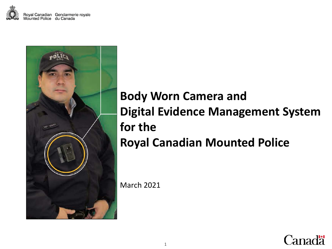



## **Body Worn Camera and Digital Evidence Management System for the Royal Canadian Mounted Police**

March 2021

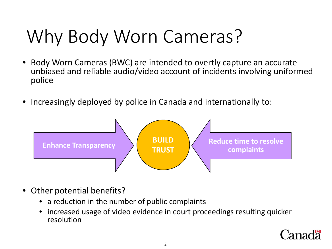# Why Body Worn Cameras?

- Body Worn Cameras (BWC) are intended to overtly capture an accurate unbiased and reliable audio/video account of incidents involving uniformed police
- Increasingly deployed by police in Canada and internationally to:



- Other potential benefits?
	- a reduction in the number of public complaints
	- increased usage of video evidence in court proceedings resulting quicker resolution

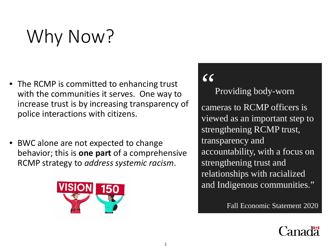# Why Now?

- The RCMP is committed to enhancing trust with the communities it serves. One way to increase trust is by increasing transparency of police interactions with citizens.
- BWC alone are not expected to change behavior; this is **one part** of a comprehensive RCMP strategy to *address systemic racism*.



## "

Providing body-worn cameras to RCMP officers is viewed as an important step to strengthening RCMP trust, transparency and accountability, with a focus on strengthening trust and relationships with racialized and Indigenous communities."

Fall Economic Statement 2020

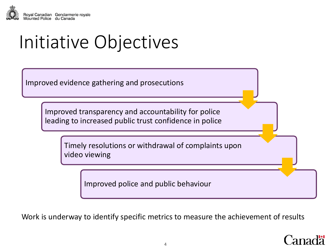

Initiative Objectives

Improved evidence gathering and prosecutions

Improved transparency and accountability for police leading to increased public trust confidence in police

> Timely resolutions or withdrawal of complaints upon video viewing

> > Improved police and public behaviour

Work is underway to identify specific metrics to measure the achievement of results

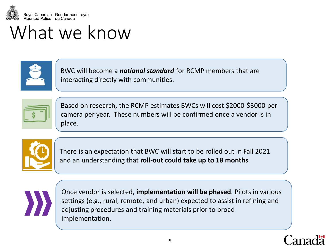

## What we know



BWC will become a *national standard* for RCMP members that are interacting directly with communities.



Based on research, the RCMP estimates BWCs will cost \$2000-\$3000 per camera per year. These numbers will be confirmed once a vendor is in place.



There is an expectation that BWC will start to be rolled out in Fall 2021 and an understanding that **roll-out could take up to 18 months**.



Once vendor is selected, **implementation will be phased**. Pilots in various settings (e.g., rural, remote, and urban) expected to assist in refining and adjusting procedures and training materials prior to broad implementation.

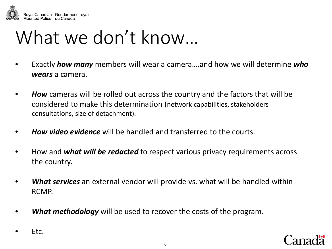

## What we don't know…

- Exactly *how many* members will wear a camera….and how we will determine *who wears* a camera.
- *How* cameras will be rolled out across the country and the factors that will be considered to make this determination (network capabilities, stakeholders consultations, size of detachment).
- *How video evidence* will be handled and transferred to the courts.
- How and *what will be redacted* to respect various privacy requirements across the country.
- *What services* an external vendor will provide vs. what will be handled within RCMP.
- *What methodology* will be used to recover the costs of the program.
- Etc.

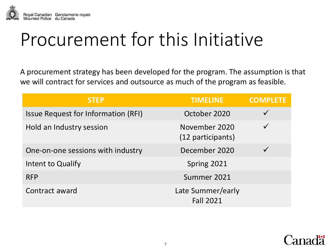

## Procurement for this Initiative

A procurement strategy has been developed for the program. The assumption is that we will contract for services and outsource as much of the program as feasible.

| <b>STEP</b>                                | <b>TIMELINE</b>                       | <b>COMPLETE</b> |
|--------------------------------------------|---------------------------------------|-----------------|
| <b>Issue Request for Information (RFI)</b> | October 2020                          |                 |
| Hold an Industry session                   | November 2020<br>(12 participants)    |                 |
| One-on-one sessions with industry          | December 2020                         |                 |
| Intent to Qualify                          | Spring 2021                           |                 |
| <b>RFP</b>                                 | Summer 2021                           |                 |
| Contract award                             | Late Summer/early<br><b>Fall 2021</b> |                 |

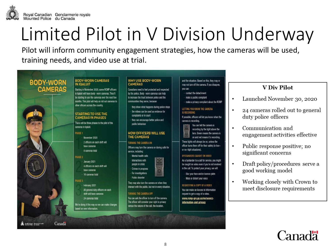

# Limited Pilot in V Division Underway

Pilot will inform community engagement strategies, how the cameras will be used, training needs, and video use at trial.

## **BODY-WORN CAMERAS**

## **BODY-WORN CAMERAS IN IQAI UIT**

Starting in November 2020, some RCMP officers in Igaluit will have body - worn cameras. They'll be starting to use the cameras over the next few months. This pilot will help us roll out cameras to other officers across the country.

### **STARTING TO USE THE CAMERAS IN PHASES**

There will be three phases to the pilot of the cameras in loaluit.

### PHASE 1

November 2020 2 officers on each shift will have cameras 8 cameras total

## PHASE 2

January 2021

16 cameras total

## **PHASE 3**

shift will have cameras 24 cameras total

We're doing it this way so we can make changes based on new information.

Canada

4 officers on each shift will

February 2021 All general duty officers on each

## have cameras

### Canadians need to feel protected and respected by the police. Body - worn cameras can help to increase the trust between police and the

communities they serve, because: they show what happens during police stops

**WHY USE BODY-WORN** 

CAMERAS

- the videos can be used as evidence for complaints or in court
- they can encourage better police and public behaviour

### **HOW OFFICERS WILL USE THE CAMERAS**

### **TURNING THE CAMERA ON**

Officers may turn the camera on during calls for service, including:

- Mental health calls Interactions with people in crisis
- Crimes in progress For investigations
- Public disorder

They may also turn the camera on when they interact with the public, but not in every situation.

### TURNING THE CAMERA OFF

You can ask the officer to turn off the camera. The officer will consider your right to privacy versus the nature of the call, the location,

and the situation. Based on this, they may or may not turn off the camera. If you disagree. you can:

contact the detachment make a public complaint

- make a privacy complaint about the RCMP

### LETTING YOU KNOW THE CAMERA **IS RECORDING**

If possible, officers will let you know when the camera is recording.



on and red means it's recording. These lights will always be on, unless the

officer turns them off for their safety (in lowor no-light situations).

### BYSTANDERS CAUGHT ON VIDEO

As a bystander to a call for service, you might be caught on video even if you're not involved in the call. To protect your privacy, we will:

Blur your face and/or licence plate Mute or distort your voice

## **REQUESTING A COPY OF A VIDEO**

You can make an Access to Information request to get a copy of a video. www.rcmp-grc.gc.ca/en/accessinformation-and-privacy

## **V** Div Pilot

- Launched November 30, 2020  $\bullet$
- 24 cameras rolled out to general  $\bullet$ duty police officers
- Communication and  $\bullet$ engagement activities effective
- Public response positive; no  $\bullet$ significant concerns
- Draft policy/procedures serve a  $\bullet$ good working model
- Working closely with Crown to  $\bullet$ meet disclosure requirements

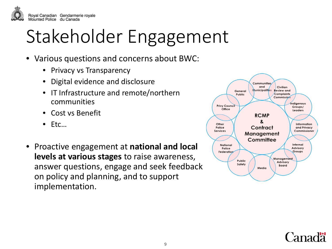

## Stakeholder Engagement

- Various questions and concerns about BWC:
	- Privacy vs Transparency
	- Digital evidence and disclosure
	- IT Infrastructure and remote/northern communities
	- Cost vs Benefit
	- Etc…
- Proactive engagement at **national and local levels at various stages** to raise awareness, answer questions, engage and seek feedback on policy and planning, and to support implementation.